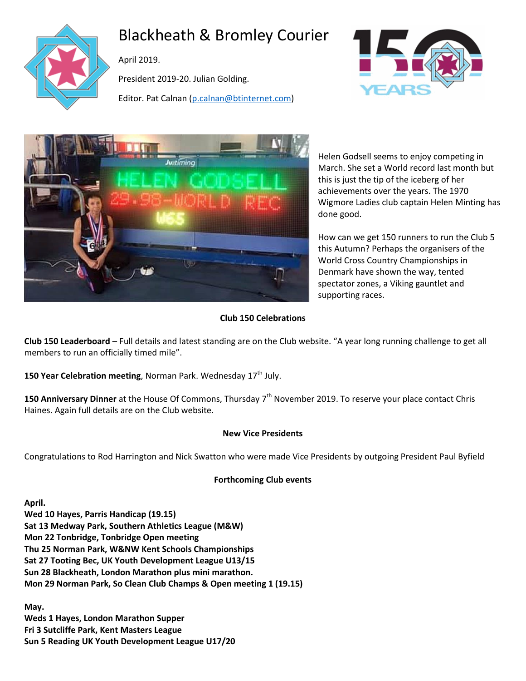

# Blackheath & Bromley Courier

April 2019.

President 2019-20. Julian Golding.

Editor. Pat Calnan [\(p.calnan@btinternet.com\)](mailto:p.calnan@btinternet.com)





Helen Godsell seems to enjoy competing in March. She set a World record last month but this is just the tip of the iceberg of her achievements over the years. The 1970 Wigmore Ladies club captain Helen Minting has done good.

How can we get 150 runners to run the Club 5 this Autumn? Perhaps the organisers of the World Cross Country Championships in Denmark have shown the way, tented spectator zones, a Viking gauntlet and supporting races.

# **Club 150 Celebrations**

**Club 150 Leaderboard** – Full details and latest standing are on the Club website. "A year long running challenge to get all members to run an officially timed mile".

**150 Year Celebration meeting**, Norman Park. Wednesday 17<sup>th</sup> July.

**150 Anniversary Dinner** at the House Of Commons, Thursday 7<sup>th</sup> November 2019. To reserve your place contact Chris Haines. Again full details are on the Club website.

# **New Vice Presidents**

Congratulations to Rod Harrington and Nick Swatton who were made Vice Presidents by outgoing President Paul Byfield

# **Forthcoming Club events**

**April. Wed 10 Hayes, Parris Handicap (19.15) Sat 13 Medway Park, Southern Athletics League (M&W) Mon 22 Tonbridge, Tonbridge Open meeting Thu 25 Norman Park, W&NW Kent Schools Championships Sat 27 Tooting Bec, UK Youth Development League U13/15 Sun 28 Blackheath, London Marathon plus mini marathon. Mon 29 Norman Park, So Clean Club Champs & Open meeting 1 (19.15)**

**May. Weds 1 Hayes, London Marathon Supper Fri 3 Sutcliffe Park, Kent Masters League Sun 5 Reading UK Youth Development League U17/20**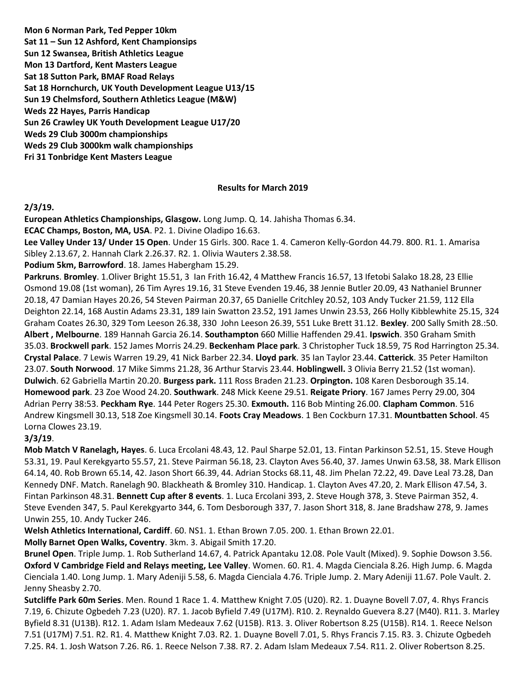**Mon 6 Norman Park, Ted Pepper 10km Sat 11 – Sun 12 Ashford, Kent Championsips Sun 12 Swansea, British Athletics League Mon 13 Dartford, Kent Masters League Sat 18 Sutton Park, BMAF Road Relays Sat 18 Hornchurch, UK Youth Development League U13/15 Sun 19 Chelmsford, Southern Athletics League (M&W) Weds 22 Hayes, Parris Handicap Sun 26 Crawley UK Youth Development League U17/20 Weds 29 Club 3000m championships Weds 29 Club 3000km walk championships Fri 31 Tonbridge Kent Masters League**

#### **Results for March 2019**

#### **2/3/19.**

**European Athletics Championships, Glasgow.** Long Jump. Q. 14. Jahisha Thomas 6.34.

**ECAC Champs, Boston, MA, USA**. P2. 1. Divine Oladipo 16.63.

**Lee Valley Under 13/ Under 15 Open**. Under 15 Girls. 300. Race 1. 4. Cameron Kelly-Gordon 44.79. 800. R1. 1. Amarisa Sibley 2.13.67, 2. Hannah Clark 2.26.37. R2. 1. Olivia Wauters 2.38.58.

**Podium 5km, Barrowford**. 18. James Habergham 15.29.

**Parkruns**. **Bromley**. 1.Oliver Bright 15.51, 3 Ian Frith 16.42, 4 Matthew Francis 16.57, 13 Ifetobi Salako 18.28, 23 Ellie Osmond 19.08 (1st woman), 26 Tim Ayres 19.16, 31 Steve Evenden 19.46, 38 Jennie Butler 20.09, 43 Nathaniel Brunner 20.18, 47 Damian Hayes 20.26, 54 Steven Pairman 20.37, 65 Danielle Critchley 20.52, 103 Andy Tucker 21.59, 112 Ella Deighton 22.14, 168 Austin Adams 23.31, 189 Iain Swatton 23.52, 191 James Unwin 23.53, 266 Holly Kibblewhite 25.15, 324 Graham Coates 26.30, 329 Tom Leeson 26.38, 330 John Leeson 26.39, 551 Luke Brett 31.12. **Bexley**. 200 Sally Smith 28.:50. **Albert , Melbourne**. 189 Hannah Garcia 26.14. **Southampton** 660 Millie Haffenden 29.41. **Ipswich**. 350 Graham Smith 35.03. **Brockwell park**. 152 James Morris 24.29. **Beckenham Place park**. 3 Christopher Tuck 18.59, 75 Rod Harrington 25.34. **Crystal Palace**. 7 Lewis Warren 19.29, 41 Nick Barber 22.34. **Lloyd park**. 35 Ian Taylor 23.44. **Catterick**. 35 Peter Hamilton 23.07. **South Norwood**. 17 Mike Simms 21.28, 36 Arthur Starvis 23.44. **Hoblingwell.** 3 Olivia Berry 21.52 (1st woman). **Dulwich**. 62 Gabriella Martin 20.20. **Burgess park.** 111 Ross Braden 21.23. **Orpington.** 108 Karen Desborough 35.14. **Homewood park**. 23 Zoe Wood 24.20. **Southwark**. 248 Mick Keene 29.51. **Reigate Priory**. 167 James Perry 29.00, 304 Adrian Perry 38:53. **Peckham Rye**. 144 Peter Rogers 25.30. **Exmouth.** 116 Bob Minting 26.00. **Clapham Common**. 516 Andrew Kingsmell 30.13, 518 Zoe Kingsmell 30.14. **Foots Cray Meadows**. 1 Ben Cockburn 17.31. **Mountbatten School**. 45 Lorna Clowes 23.19.

#### **3/3/19**.

**Mob Match V Ranelagh, Hayes**. 6. Luca Ercolani 48.43, 12. Paul Sharpe 52.01, 13. Fintan Parkinson 52.51, 15. Steve Hough 53.31, 19. Paul Kerekgyarto 55.57, 21. Steve Pairman 56.18, 23. Clayton Aves 56.40, 37. James Unwin 63.58, 38. Mark Ellison 64.14, 40. Rob Brown 65.14, 42. Jason Short 66.39, 44. Adrian Stocks 68.11, 48. Jim Phelan 72.22, 49. Dave Leal 73.28, Dan Kennedy DNF. Match. Ranelagh 90. Blackheath & Bromley 310. Handicap. 1. Clayton Aves 47.20, 2. Mark Ellison 47.54, 3. Fintan Parkinson 48.31. **Bennett Cup after 8 events**. 1. Luca Ercolani 393, 2. Steve Hough 378, 3. Steve Pairman 352, 4. Steve Evenden 347, 5. Paul Kerekgyarto 344, 6. Tom Desborough 337, 7. Jason Short 318, 8. Jane Bradshaw 278, 9. James Unwin 255, 10. Andy Tucker 246.

**Welsh Athletics International, Cardiff**. 60. NS1. 1. Ethan Brown 7.05. 200. 1. Ethan Brown 22.01.

**Molly Barnet Open Walks, Coventry**. 3km. 3. Abigail Smith 17.20.

**Brunel Open**. Triple Jump. 1. Rob Sutherland 14.67, 4. Patrick Apantaku 12.08. Pole Vault (Mixed). 9. Sophie Dowson 3.56. **Oxford V Cambridge Field and Relays meeting, Lee Valley**. Women. 60. R1. 4. Magda Cienciala 8.26. High Jump. 6. Magda Cienciala 1.40. Long Jump. 1. Mary Adeniji 5.58, 6. Magda Cienciala 4.76. Triple Jump. 2. Mary Adeniji 11.67. Pole Vault. 2. Jenny Sheasby 2.70.

**Sutcliffe Park 60m Series**. Men. Round 1 Race 1. 4. Matthew Knight 7.05 (U20). R2. 1. Duayne Bovell 7.07, 4. Rhys Francis 7.19, 6. Chizute Ogbedeh 7.23 (U20). R7. 1. Jacob Byfield 7.49 (U17M). R10. 2. Reynaldo Guevera 8.27 (M40). R11. 3. Marley Byfield 8.31 (U13B). R12. 1. Adam Islam Medeaux 7.62 (U15B). R13. 3. Oliver Robertson 8.25 (U15B). R14. 1. Reece Nelson 7.51 (U17M) 7.51. R2. R1. 4. Matthew Knight 7.03. R2. 1. Duayne Bovell 7.01, 5. Rhys Francis 7.15. R3. 3. Chizute Ogbedeh 7.25. R4. 1. Josh Watson 7.26. R6. 1. Reece Nelson 7.38. R7. 2. Adam Islam Medeaux 7.54. R11. 2. Oliver Robertson 8.25.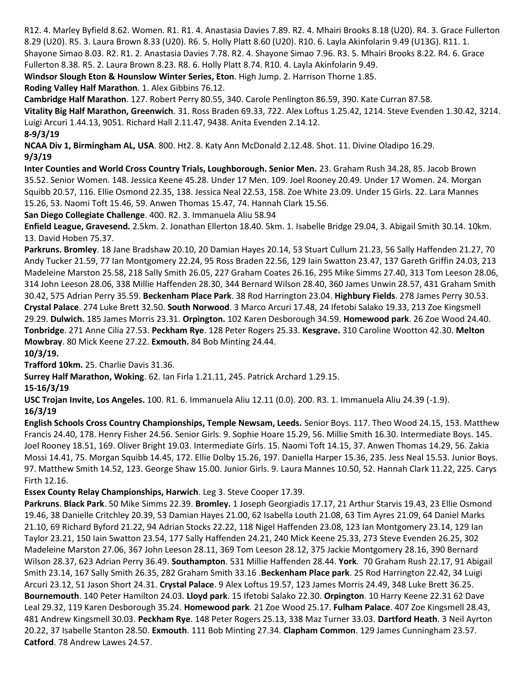R12. 4. Marley Byfield 8.62. Women. R1. R1. 4. Anastasia Davies 7.89. R2. 4. Mhairi Brooks 8.18 (U20). R4. 3. Grace Fullerton 8.29 (U20). R5. 3. Laura Brown 8.33 (U20). R6. 5. Holly Platt 8.60 (U20). R10. 6. Layla Akinfolarin 9.49 (U13G). R11. 1. Shayone Simao 8.03. R2. R1. 2. Anastasia Davies 7.78. R2. 4. Shayone Simao 7.96. R3. 5. Mhairi Brooks 8.22. R4. 6. Grace Fullerton 8.38. R5. 2. Laura Brown 8.23. R8. 6. Holly Platt 8.74. R10. 4. Layla Akinfolarin 9.49.

**Windsor Slough Eton & Hounslow Winter Series, Eton**. High Jump. 2. Harrison Thorne 1.85.

**Roding Valley Half Marathon**. 1. Alex Gibbins 76.12.

**Cambridge Half Marathon**. 127. Robert Perry 80.55, 340. Carole Penlington 86.59, 390. Kate Curran 87.58.

**Vitality Big Half Marathon, Greenwich**. 31. Ross Braden 69.33, 722. Alex Loftus 1.25.42, 1214. Steve Evenden 1.30.42, 3214. Luigi Arcuri 1.44.13, 9051. Richard Hall 2.11.47, 9438. Anita Evenden 2.14.12.

**8-9/3/19**

**NCAA Div 1, Birmingham AL, USA**. 800. Ht2. 8. Katy Ann McDonald 2.12.48. Shot. 11. Divine Oladipo 16.29. **9/3/19**

**Inter Counties and World Cross Country Trials, Loughborough. Senior Men.** 23. Graham Rush 34.28, 85. Jacob Brown 35.52. Senior Women. 148. Jessica Keene 45.28. Under 17 Men. 109. Joel Rooney 20.49. Under 17 Women. 24. Morgan Squibb 20.57, 116. Ellie Osmond 22.35, 138. Jessica Neal 22.53, 158. Zoe White 23.09. Under 15 Girls. 22. Lara Mannes 15.26, 53. Naomi Toft 15.46, 59. Anwen Thomas 15.47, 74. Hannah Clark 15.56.

**San Diego Collegiate Challenge**. 400. R2. 3. Immanuela Aliu 58.94

**Enfield League, Gravesend.** 2.5km. 2. Jonathan Ellerton 18.40. 5km. 1. Isabelle Bridge 29.04, 3. Abigail Smith 30.14. 10km. 13. David Hoben 75.37.

**Parkruns. Bromley**. 18 Jane Bradshaw 20.10, 20 Damian Hayes 20.14, 53 Stuart Cullum 21.23, 56 Sally Haffenden 21.27, 70 Andy Tucker 21.59, 77 Ian Montgomery 22.24, 95 Ross Braden 22.56, 129 Iain Swatton 23.47, 137 Gareth Griffin 24.03, 213 Madeleine Marston 25.58, 218 Sally Smith 26.05, 227 Graham Coates 26.16, 295 Mike Simms 27.40, 313 Tom Leeson 28.06, 314 John Leeson 28.06, 338 Millie Haffenden 28.30, 344 Bernard Wilson 28.40, 360 James Unwin 28.57, 431 Graham Smith 30.42, 575 Adrian Perry 35.59. **Beckenham Place Park**. 38 Rod Harrington 23.04. **Highbury Fields**. 278 James Perry 30.53. **Crystal Palace**. 274 Luke Brett 32.50. **South Norwood**. 3 Marco Arcuri 17.48, 24 Ifetobi Salako 19.33, 213 Zoe Kingsmell 29.29. **Dulwich.** 185 James Morris 23.31. **Orpington.** 102 Karen Desborough 34.59. **Homewood park**. 26 Zoe Wood 24.40. **Tonbridge**. 271 Anne Cilia 27.53. **Peckham Rye**. 128 Peter Rogers 25.33. **Kesgrave.** 310 Caroline Wootton 42.30. **Melton Mowbray**. 80 Mick Keene 27.22. **Exmouth.** 84 Bob Minting 24.44.

**10/3/19. Trafford 10km.** 25. Charlie Davis 31.36.

**Surrey Half Marathon, Woking**. 62. Ian Firla 1.21.11, 245. Patrick Archard 1.29.15.

**15-16/3/19**

**USC Trojan Invite, Los Angeles.** 100. R1. 6. Immanuela Aliu 12.11 (0.0). 200. R3. 1. Immanuela Aliu 24.39 (-1.9). **16/3/19**

**English Schools Cross Country Championships, Temple Newsam, Leeds.** Senior Boys. 117. Theo Wood 24.15, 153. Matthew Francis 24.40, 178. Henry Fisher 24.56. Senior Girls. 9. Sophie Hoare 15.29, 56. Millie Smith 16.30. Intermediate Boys. 145. Joel Rooney 18.51, 169. Oliver Bright 19.03. Intermediate Girls. 15. Naomi Toft 14.15, 37. Anwen Thomas 14.29, 56. Zakia Mossi 14.41, 75. Morgan Squibb 14.45, 172. Ellie Dolby 15.26, 197. Daniella Harper 15.36, 235. Jess Neal 15.53. Junior Boys. 97. Matthew Smith 14.52, 123. George Shaw 15.00. Junior Girls. 9. Laura Mannes 10.50, 52. Hannah Clark 11.22, 225. Carys Firth 12.16.

**Essex County Relay Championships, Harwich**. Leg 3. Steve Cooper 17.39.

**Parkruns**. **Black Park**. 50 Mike Simms 22.39. **Bromley.** 1 Joseph Georgiadis 17.17, 21 Arthur Starvis 19.43, 23 Ellie Osmond 19.46, 38 Danielle Critchley 20.39, 53 Damian Hayes 21.00, 62 Isabella Louth 21.08, 63 Tim Ayres 21.09, 64 Daniel Marks 21.10, 69 Richard Byford 21.22, 94 Adrian Stocks 22.22, 118 Nigel Haffenden 23.08, 123 Ian Montgomery 23.14, 129 Ian Taylor 23.21, 150 Iain Swatton 23.54, 177 Sally Haffenden 24.21, 240 Mick Keene 25.33, 273 Steve Evenden 26.25, 302 Madeleine Marston 27.06, 367 John Leeson 28.11, 369 Tom Leeson 28.12, 375 Jackie Montgomery 28.16, 390 Bernard Wilson 28.37, 623 Adrian Perry 36.49. **Southampton**. 531 Millie Haffenden 28.44. **York**. 70 Graham Rush 22.17, 91 Abigail Smith 23.14, 167 Sally Smith 26.35, 282 Graham Smith 33.16 .**Beckenham Place park**. 25 Rod Harrington 22.42, 34 Luigi Arcuri 23.12, 51 Jason Short 24.31. **Crystal Palace**. 9 Alex Loftus 19.57, 123 James Morris 24.49, 348 Luke Brett 36.25. **Bournemouth**. 140 Peter Hamilton 24.03. **Lloyd park**. 15 Ifetobi Salako 22.30. **Orpington**. 10 Harry Keene 22.31 62 Dave Leal 29.32, 119 Karen Desborough 35.24. **Homewood park**. 21 Zoe Wood 25.17. **Fulham Palace**. 407 Zoe Kingsmell 28.43, 481 Andrew Kingsmell 30.03. **Peckham Rye**. 148 Peter Rogers 25.13, 338 Maz Turner 33.03. **Dartford Heath**. 3 Neil Ayrton 20.22, 37 Isabelle Stanton 28.50. **Exmouth**. 111 Bob Minting 27.34. **Clapham Common**. 129 James Cunningham 23.57. **Catford**. 78 Andrew Lawes 24.57.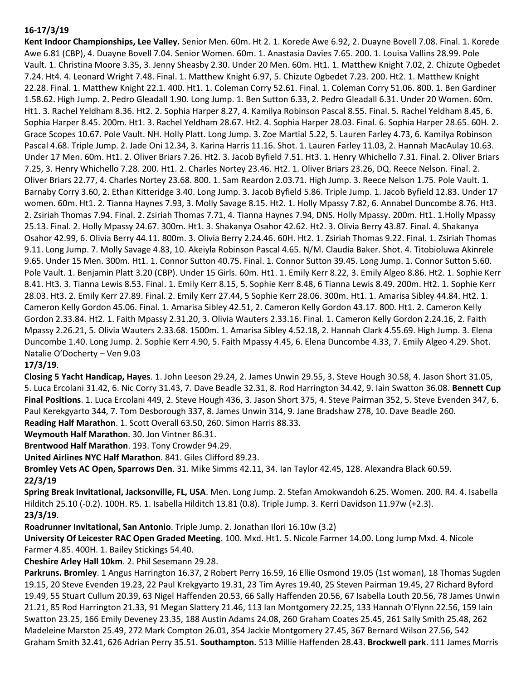## **16-17/3/19**

**Kent Indoor Championships, Lee Valley.** Senior Men. 60m. Ht 2. 1. Korede Awe 6.92, 2. Duayne Bovell 7.08. Final. 1. Korede Awe 6.81 (CBP), 4. Duayne Bovell 7.04. Senior Women. 60m. 1. Anastasia Davies 7.65. 200. 1. Louisa Vallins 28.99. Pole Vault. 1. Christina Moore 3.35, 3. Jenny Sheasby 2.30. Under 20 Men. 60m. Ht1. 1. Matthew Knight 7.02, 2. Chizute Ogbedet 7.24. Ht4. 4. Leonard Wright 7.48. Final. 1. Matthew Knight 6.97, 5. Chizute Ogbedet 7.23. 200. Ht2. 1. Matthew Knight 22.28. Final. 1. Matthew Knight 22.1. 400. Ht1. 1. Coleman Corry 52.61. Final. 1. Coleman Corry 51.06. 800. 1. Ben Gardiner 1.58.62. High Jump. 2. Pedro Gleadall 1.90. Long Jump. 1. Ben Sutton 6.33, 2. Pedro Gleadall 6.31. Under 20 Women. 60m. Ht1. 3. Rachel Yeldham 8.36. Ht2. 2. Sophia Harper 8.27, 4. Kamilya Robinson Pascal 8.55. Final. 5. Rachel Yeldham 8.45, 6. Sophia Harper 8.45. 200m. Ht1. 3. Rachel Yeldham 28.67. Ht2. 4. Sophia Harper 28.03. Final. 6. Sophia Harper 28.65. 60H. 2. Grace Scopes 10.67. Pole Vault. NH. Holly Platt. Long Jump. 3. Zoe Martial 5.22, 5. Lauren Farley 4.73, 6. Kamilya Robinson Pascal 4.68. Triple Jump. 2. Jade Oni 12.34, 3. Karina Harris 11.16. Shot. 1. Lauren Farley 11.03, 2. Hannah MacAulay 10.63. Under 17 Men. 60m. Ht1. 2. Oliver Briars 7.26. Ht2. 3. Jacob Byfield 7.51. Ht3. 1. Henry Whichello 7.31. Final. 2. Oliver Briars 7.25, 3. Henry Whichello 7.28. 200. Ht1. 2. Charles Nortey 23.46. Ht2. 1. Oliver Briars 23.26, DQ. Reece Nelson. Final. 2. Oliver Briars 22.77, 4. Charles Nortey 23.68. 800. 1. Sam Reardon 2.03.71. High Jump. 3. Reece Nelson 1.75. Pole Vault. 1. Barnaby Corry 3.60, 2. Ethan Kitteridge 3.40. Long Jump. 3. Jacob Byfield 5.86. Triple Jump. 1. Jacob Byfield 12.83. Under 17 women. 60m. Ht1. 2. Tianna Haynes 7.93, 3. Molly Savage 8.15. Ht2. 1. Holly Mpassy 7.82, 6. Annabel Duncombe 8.76. Ht3. 2. Zsiriah Thomas 7.94. Final. 2. Zsiriah Thomas 7.71, 4. Tianna Haynes 7.94, DNS. Holly Mpassy. 200m. Ht1. 1.Holly Mpassy 25.13. Final. 2. Holly Mpassy 24.67. 300m. Ht1. 3. Shakanya Osahor 42.62. Ht2. 3. Olivia Berry 43.87. Final. 4. Shakanya Osahor 42.99, 6. Olivia Berry 44.11. 800m. 3. Olivia Berry 2.24.46. 60H. Ht2. 1. Zsiriah Thomas 9.22. Final. 1. Zsiriah Thomas 9.11. Long Jump. 7. Molly Savage 4.83, 10. Akeiyla Robinson Pascal 4.65. N/M. Claudia Baker. Shot. 4. Titobioluwa Akinrele 9.65. Under 15 Men. 300m. Ht1. 1. Connor Sutton 40.75. Final. 1. Connor Sutton 39.45. Long Jump. 1. Connor Sutton 5.60. Pole Vault. 1. Benjamin Platt 3.20 (CBP). Under 15 Girls. 60m. Ht1. 1. Emily Kerr 8.22, 3. Emily Algeo 8.86. Ht2. 1. Sophie Kerr 8.41. Ht3. 3. Tianna Lewis 8.53. Final. 1. Emily Kerr 8.15, 5. Sophie Kerr 8.48, 6 Tianna Lewis 8.49. 200m. Ht2. 1. Sophie Kerr 28.03. Ht3. 2. Emily Kerr 27.89. Final. 2. Emily Kerr 27.44, 5 Sophie Kerr 28.06. 300m. Ht1. 1. Amarisa Sibley 44.84. Ht2. 1. Cameron Kelly Gordon 45.06. Final. 1. Amarisa Sibley 42.51, 2. Cameron Kelly Gordon 43.17. 800. Ht1. 2. Cameron Kelly Gordon 2.33.84. Ht2. 1. Faith Mpassy 2.31.20, 3. Olivia Wauters 2.33.16. Final. 1. Cameron Kelly Gordon 2.24.16, 2. Faith Mpassy 2.26.21, 5. Olivia Wauters 2.33.68. 1500m. 1. Amarisa Sibley 4.52.18, 2. Hannah Clark 4.55.69. High Jump. 3. Elena Duncombe 1.40. Long Jump. 2. Sophie Kerr 4.90, 5. Faith Mpassy 4.45, 6. Elena Duncombe 4.33, 7. Emily Algeo 4.29. Shot. Natalie O'Docherty – Ven 9.03

# **17/3/19**.

**Closing 5 Yacht Handicap, Hayes**. 1. John Leeson 29.24, 2. James Unwin 29.55, 3. Steve Hough 30.58, 4. Jason Short 31.05, 5. Luca Ercolani 31.42, 6. Nic Corry 31.43, 7. Dave Beadle 32.31, 8. Rod Harrington 34.42, 9. Iain Swatton 36.08. **Bennett Cup Final Positions**. 1. Luca Ercolani 449, 2. Steve Hough 436, 3. Jason Short 375, 4. Steve Pairman 352, 5. Steve Evenden 347, 6. Paul Kerekgyarto 344, 7. Tom Desborough 337, 8. James Unwin 314, 9. Jane Bradshaw 278, 10. Dave Beadle 260. **Reading Half Marathon**. 1. Scott Overall 63.50, 260. Simon Harris 88.33.

**Weymouth Half Marathon**. 30. Jon Vintner 86.31.

**Brentwood Half Marathon**. 193. Tony Crowder 94.29.

**United Airlines NYC Half Marathon**. 841. Giles Clifford 89.23.

**Bromley Vets AC Open, Sparrows Den**. 31. Mike Simms 42.11, 34. Ian Taylor 42.45, 128. Alexandra Black 60.59. **22/3/19**

**Spring Break Invitational, Jacksonville, FL, USA**. Men. Long Jump. 2. Stefan Amokwandoh 6.25. Women. 200. R4. 4. Isabella Hilditch 25.10 (-0.2). 100H. R5. 1. Isabella Hilditch 13.81 (0.8). Triple Jump. 3. Kerri Davidson 11.97w (+2.3). **23/3/19**.

**Roadrunner Invitational, San Antonio**. Triple Jump. 2. Jonathan Ilori 16.10w (3.2)

**University Of Leicester RAC Open Graded Meeting**. 100. Mxd. Ht1. 5. Nicole Farmer 14.00. Long Jump Mxd. 4. Nicole Farmer 4.85. 400H. 1. Bailey Stickings 54.40.

**Cheshire Arley Hall 10km**. 2. Phil Sesemann 29.28.

**Parkruns. Bromley**. 1 Angus Harrington 16.37, 2 Robert Perry 16.59, 16 Ellie Osmond 19.05 (1st woman), 18 Thomas Sugden 19.15, 20 Steve Evenden 19.23, 22 Paul Krekgyarto 19.31, 23 Tim Ayres 19.40, 25 Steven Pairman 19.45, 27 Richard Byford 19.49, 55 Stuart Cullum 20.39, 63 Nigel Haffenden 20.53, 66 Sally Haffenden 20.56, 67 Isabella Louth 20.56, 78 James Unwin 21.21, 85 Rod Harrington 21.33, 91 Megan Slattery 21.46, 113 Ian Montgomery 22.25, 133 Hannah O'Flynn 22.56, 159 Iain Swatton 23.25, 166 Emily Deveney 23.35, 188 Austin Adams 24.08, 260 Graham Coates 25.45, 261 Sally Smith 25.48, 262 Madeleine Marston 25.49, 272 Mark Compton 26.01, 354 Jackie Montgomery 27.45, 367 Bernard Wilson 27.56, 542 Graham Smith 32.41, 626 Adrian Perry 35.51. **Southampton.** 513 Millie Haffenden 28.43. **Brockwell park**. 111 James Morris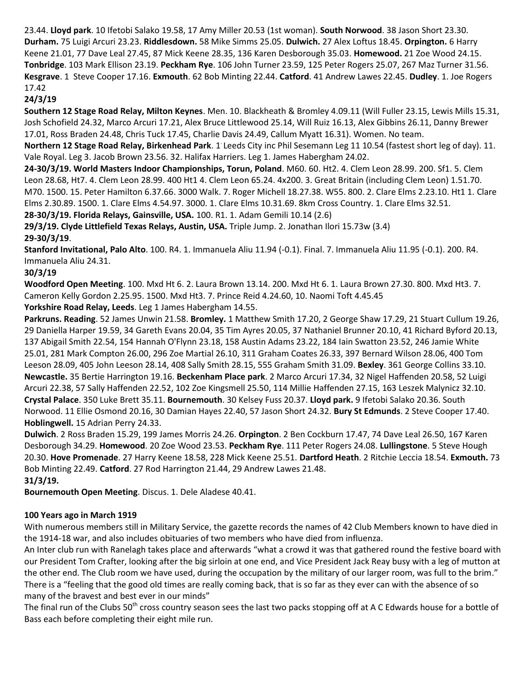23.44. **Lloyd park**. 10 Ifetobi Salako 19.58, 17 Amy Miller 20.53 (1st woman). **South Norwood**. 38 Jason Short 23.30. **Durham.** 75 Luigi Arcuri 23.23. **Riddlesdown.** 58 Mike Simms 25.05. **Dulwich.** 27 Alex Loftus 18.45. **Orpington.** 6 Harry Keene 21.01, 77 Dave Leal 27.45, 87 Mick Keene 28.35, 136 Karen Desborough 35.03. **Homewood.** 21 Zoe Wood 24.15. **Tonbridge**. 103 Mark Ellison 23.19. **Peckham Rye**. 106 John Turner 23.59, 125 Peter Rogers 25.07, 267 Maz Turner 31.56. **Kesgrave**. 1 Steve Cooper 17.16. **Exmouth**. 62 Bob Minting 22.44. **Catford**. 41 Andrew Lawes 22.45. **Dudley**. 1. Joe Rogers 17.42

# **24/3/19**

**Southern 12 Stage Road Relay, Milton Keynes**. Men. 10. Blackheath & Bromley 4.09.11 (Will Fuller 23.15, Lewis Mills 15.31, Josh Schofield 24.32, Marco Arcuri 17.21, Alex Bruce Littlewood 25.14, Will Ruiz 16.13, Alex Gibbins 26.11, Danny Brewer 17.01, Ross Braden 24.48, Chris Tuck 17.45, Charlie Davis 24.49, Callum Myatt 16.31). Women. No team.

**Northern 12 Stage Road Relay, Birkenhead Park**. 1. Leeds City inc Phil Sesemann Leg 11 10.54 (fastest short leg of day). 11. Vale Royal. Leg 3. Jacob Brown 23.56. 32. Halifax Harriers. Leg 1. James Habergham 24.02.

**24-30/3/19. World Masters Indoor Championships, Torun, Poland**. M60. 60. Ht2. 4. Clem Leon 28.99. 200. Sf1. 5. Clem Leon 28.68, Ht7. 4. Clem Leon 28.99. 400 Ht1 4. Clem Leon 65.24. 4x200. 3. Great Britain (including Clem Leon) 1.51.70. M70. 1500. 15. Peter Hamilton 6.37.66. 3000 Walk. 7. Roger Michell 18.27.38. W55. 800. 2. Clare Elms 2.23.10. Ht1 1. Clare Elms 2.30.89. 1500. 1. Clare Elms 4.54.97. 3000. 1. Clare Elms 10.31.69. 8km Cross Country. 1. Clare Elms 32.51. **28-30/3/19. Florida Relays, Gainsville, USA.** 100. R1. 1. Adam Gemili 10.14 (2.6)

**29/3/19. Clyde Littlefield Texas Relays, Austin, USA.** Triple Jump. 2. Jonathan Ilori 15.73w (3.4) **29-30/3/19**.

**Stanford Invitational, Palo Alto**. 100. R4. 1. Immanuela Aliu 11.94 (-0.1). Final. 7. Immanuela Aliu 11.95 (-0.1). 200. R4. Immanuela Aliu 24.31.

# **30/3/19**

**Woodford Open Meeting**. 100. Mxd Ht 6. 2. Laura Brown 13.14. 200. Mxd Ht 6. 1. Laura Brown 27.30. 800. Mxd Ht3. 7. Cameron Kelly Gordon 2.25.95. 1500. Mxd Ht3. 7. Prince Reid 4.24.60, 10. Naomi Toft 4.45.45

**Yorkshire Road Relay, Leeds**. Leg 1 James Habergham 14.55.

**Parkruns. Reading**. 52 James Unwin 21.58. **Bromley.** 1 Matthew Smith 17.20, 2 George Shaw 17.29, 21 Stuart Cullum 19.26, 29 Daniella Harper 19.59, 34 Gareth Evans 20.04, 35 Tim Ayres 20.05, 37 Nathaniel Brunner 20.10, 41 Richard Byford 20.13, 137 Abigail Smith 22.54, 154 Hannah O'Flynn 23.18, 158 Austin Adams 23.22, 184 Iain Swatton 23.52, 246 Jamie White 25.01, 281 Mark Compton 26.00, 296 Zoe Martial 26.10, 311 Graham Coates 26.33, 397 Bernard Wilson 28.06, 400 Tom Leeson 28.09, 405 John Leeson 28.14, 408 Sally Smith 28.15, 555 Graham Smith 31.09. **Bexley**. 361 George Collins 33.10. **Newcastle.** 35 Bertie Harrington 19.16. **Beckenham Place park**. 2 Marco Arcuri 17.34, 32 Nigel Haffenden 20.58, 52 Luigi Arcuri 22.38, 57 Sally Haffenden 22.52, 102 Zoe Kingsmell 25.50, 114 Millie Haffenden 27.15, 163 Leszek Malynicz 32.10. **Crystal Palace**. 350 Luke Brett 35.11. **Bournemouth**. 30 Kelsey Fuss 20.37. **Lloyd park.** 9 Ifetobi Salako 20.36. South Norwood. 11 Ellie Osmond 20.16, 30 Damian Hayes 22.40, 57 Jason Short 24.32. **Bury St Edmunds**. 2 Steve Cooper 17.40. **Hoblingwell.** 15 Adrian Perry 24.33.

**Dulwich**. 2 Ross Braden 15.29, 199 James Morris 24.26. **Orpington**. 2 Ben Cockburn 17.47, 74 Dave Leal 26.50, 167 Karen Desborough 34.29. **Homewood**. 20 Zoe Wood 23.53. **Peckham Rye**. 111 Peter Rogers 24.08. **Lullingstone**. 5 Steve Hough 20.30. **Hove Promenade**. 27 Harry Keene 18.58, 228 Mick Keene 25.51. **Dartford Heath**. 2 Ritchie Leccia 18.54. **Exmouth.** 73 Bob Minting 22.49. **Catford**. 27 Rod Harrington 21.44, 29 Andrew Lawes 21.48.

# **31/3/19.**

**Bournemouth Open Meeting**. Discus. 1. Dele Aladese 40.41.

# **100 Years ago in March 1919**

With numerous members still in Military Service, the gazette records the names of 42 Club Members known to have died in the 1914-18 war, and also includes obituaries of two members who have died from influenza.

An Inter club run with Ranelagh takes place and afterwards "what a crowd it was that gathered round the festive board with our President Tom Crafter, looking after the big sirloin at one end, and Vice President Jack Reay busy with a leg of mutton at the other end. The Club room we have used, during the occupation by the military of our larger room, was full to the brim." There is a "feeling that the good old times are really coming back, that is so far as they ever can with the absence of so many of the bravest and best ever in our minds"

The final run of the Clubs 50<sup>th</sup> cross country season sees the last two packs stopping off at A C Edwards house for a bottle of Bass each before completing their eight mile run.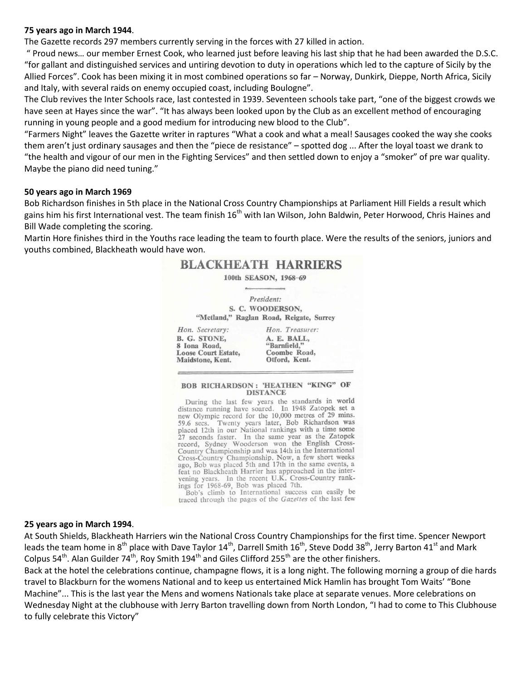#### **75 years ago in March 1944**.

The Gazette records 297 members currently serving in the forces with 27 killed in action.

" Proud news… our member Ernest Cook, who learned just before leaving his last ship that he had been awarded the D.S.C. "for gallant and distinguished services and untiring devotion to duty in operations which led to the capture of Sicily by the Allied Forces". Cook has been mixing it in most combined operations so far – Norway, Dunkirk, Dieppe, North Africa, Sicily and Italy, with several raids on enemy occupied coast, including Boulogne".

The Club revives the Inter Schools race, last contested in 1939. Seventeen schools take part, "one of the biggest crowds we have seen at Hayes since the war". "It has always been looked upon by the Club as an excellent method of encouraging running in young people and a good medium for introducing new blood to the Club".

"Farmers Night" leaves the Gazette writer in raptures "What a cook and what a meal! Sausages cooked the way she cooks them aren't just ordinary sausages and then the "piece de resistance" – spotted dog ... After the loyal toast we drank to "the health and vigour of our men in the Fighting Services" and then settled down to enjoy a "smoker" of pre war quality. Maybe the piano did need tuning."

#### **50 years ago in March 1969**

Bob Richardson finishes in 5th place in the National Cross Country Championships at Parliament Hill Fields a result which gains him his first International vest. The team finish 16<sup>th</sup> with Ian Wilson, John Baldwin, Peter Horwood, Chris Haines and Bill Wade completing the scoring.

Martin Hore finishes third in the Youths race leading the team to fourth place. Were the results of the seniors, juniors and youths combined, Blackheath would have won.

# **BLACKHEATH HARRIERS**

100th SEASON, 1968-69

President: S. C. WOODERSON, "Metland," Raglan Road, Reigate, Surrey

Hon. Secretary: Hon. Treasurer: **B. G. STONE,** A. E. BALL, 8 Iona Road, "Barnfield," **Loose Court Estate,** Coombe Road, Otford, Kent. Maidstone, Kent.

#### **BOB RICHARDSON: 'HEATHEN "KING" OF DISTANCE**

During the last few years the standards in world distance running have soared. In 1948 Zatopek set a new Olympic record for the 10,000 metres of 29 mins. 59.6 secs. Twenty years later, Bob Richardson was<br>placed 12th in our National rankings with a time some 27 seconds faster. In the same year as the Zatopek<br>record, Sydney Wooderson won the English Cross-Country Championship and was 14th in the International Cross-Country Championship. Now, a few short weeks ago, Bob was placed 5th and 17th in the same events, a feat no Blackheath Harrier has approached in the intervening years. In the recent U.K. Cross-Country rankings for 1968-69, Bob was placed 7th.

Bob's climb to International success can easily be traced through the pages of the Gazettes of the last few

#### **25 years ago in March 1994**.

At South Shields, Blackheath Harriers win the National Cross Country Championships for the first time. Spencer Newport leads the team home in 8<sup>th</sup> place with Dave Taylor 14<sup>th</sup>, Darrell Smith 16<sup>th</sup>, Steve Dodd 38<sup>th</sup>, Jerry Barton 41<sup>st</sup> and Mark Colpus 54<sup>th</sup>. Alan Guilder 74<sup>th</sup>, Roy Smith 194<sup>th</sup> and Giles Clifford 255<sup>th</sup> are the other finishers.

Back at the hotel the celebrations continue, champagne flows, it is a long night. The following morning a group of die hards travel to Blackburn for the womens National and to keep us entertained Mick Hamlin has brought Tom Waits' "Bone Machine"... This is the last year the Mens and womens Nationals take place at separate venues. More celebrations on Wednesday Night at the clubhouse with Jerry Barton travelling down from North London, "I had to come to This Clubhouse to fully celebrate this Victory"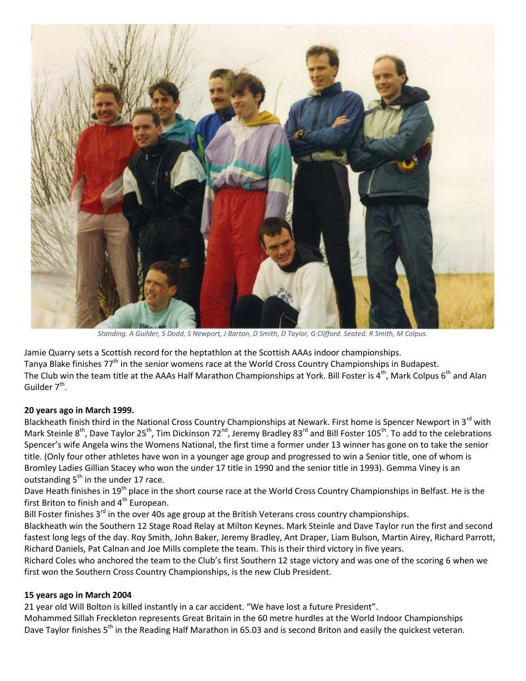

*Standing. A Guilder, S Dodd, S Newport, J Barton, D Smith, D Taylor, G Clifford. Seated. R Smith, M Colpus.*

Jamie Quarry sets a Scottish record for the heptathlon at the Scottish AAAs indoor championships. Tanya Blake finishes 77<sup>th</sup> in the senior womens race at the World Cross Country Championships in Budapest. The Club win the team title at the AAAs Half Marathon Championships at York. Bill Foster is 4<sup>th</sup>, Mark Colpus 6<sup>th</sup> and Alan Guilder 7<sup>th</sup>.

# **20 years ago in March 1999.**

Blackheath finish third in the National Cross Country Championships at Newark. First home is Spencer Newport in 3<sup>rd</sup> with Mark Steinle 8<sup>th</sup>, Dave Taylor 25<sup>th</sup>, Tim Dickinson 72<sup>nd</sup>, Jeremy Bradley 83<sup>rd</sup> and Bill Foster 105<sup>th</sup>. To add to the celebrations Spencer's wife Angela wins the Womens National, the first time a former under 13 winner has gone on to take the senior title. (Only four other athletes have won in a younger age group and progressed to win a Senior title, one of whom is Bromley Ladies Gillian Stacey who won the under 17 title in 1990 and the senior title in 1993). Gemma Viney is an outstanding  $5<sup>th</sup>$  in the under 17 race.

Dave Heath finishes in 19<sup>th</sup> place in the short course race at the World Cross Country Championships in Belfast. He is the first Briton to finish and 4<sup>th</sup> European.

Bill Foster finishes  $3^{rd}$  in the over 40s age group at the British Veterans cross country championships.

Blackheath win the Southern 12 Stage Road Relay at Milton Keynes. Mark Steinle and Dave Taylor run the first and second fastest long legs of the day. Roy Smith, John Baker, Jeremy Bradley, Ant Draper, Liam Bulson, Martin Airey, Richard Parrott, Richard Daniels, Pat Calnan and Joe Mills complete the team. This is their third victory in five years.

Richard Coles who anchored the team to the Club's first Southern 12 stage victory and was one of the scoring 6 when we first won the Southern Cross Country Championships, is the new Club President.

# **15 years ago in March 2004**

21 year old Will Bolton is killed instantly in a car accident. "We have lost a future President".

Mohammed Sillah Freckleton represents Great Britain in the 60 metre hurdles at the World Indoor Championships Dave Taylor finishes 5<sup>th</sup> in the Reading Half Marathon in 65.03 and is second Briton and easily the quickest veteran.